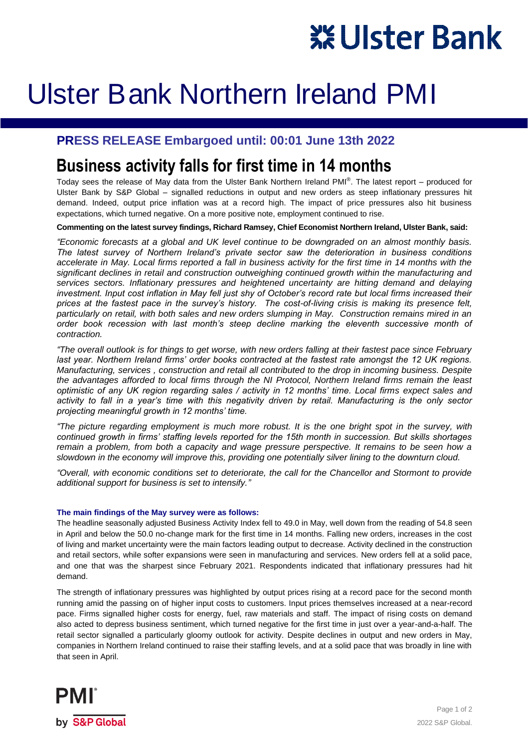# **XEUIster Bank**

## Ulster Bank Northern Ireland PMI

#### **PRESS RELEASE Embargoed until: 00:01 June 13th 2022**

### **Business activity falls for first time in 14 months**

Today sees the release of May data from the Ulster Bank Northern Ireland PMI® . The latest report – produced for Ulster Bank by S&P Global – signalled reductions in output and new orders as steep inflationary pressures hit demand. Indeed, output price inflation was at a record high. The impact of price pressures also hit business expectations, which turned negative. On a more positive note, employment continued to rise.

**Commenting on the latest survey findings, Richard Ramsey, Chief Economist Northern Ireland, Ulster Bank, said:**

*"Economic forecasts at a global and UK level continue to be downgraded on an almost monthly basis. The latest survey of Northern Ireland's private sector saw the deterioration in business conditions accelerate in May. Local firms reported a fall in business activity for the first time in 14 months with the significant declines in retail and construction outweighing continued growth within the manufacturing and services sectors. Inflationary pressures and heightened uncertainty are hitting demand and delaying investment. Input cost inflation in May fell just shy of October's record rate but local firms increased their prices at the fastest pace in the survey's history. The cost-of-living crisis is making its presence felt, particularly on retail, with both sales and new orders slumping in May. Construction remains mired in an order book recession with last month's steep decline marking the eleventh successive month of contraction.*

*"The overall outlook is for things to get worse, with new orders falling at their fastest pace since February*  last year. Northern Ireland firms' order books contracted at the fastest rate amongst the 12 UK regions. *Manufacturing, services , construction and retail all contributed to the drop in incoming business. Despite the advantages afforded to local firms through the NI Protocol, Northern Ireland firms remain the least optimistic of any UK region regarding sales / activity in 12 months' time. Local firms expect sales and activity to fall in a year's time with this negativity driven by retail. Manufacturing is the only sector projecting meaningful growth in 12 months' time.*

*"The picture regarding employment is much more robust. It is the one bright spot in the survey, with continued growth in firms' staffing levels reported for the 15th month in succession. But skills shortages remain a problem, from both a capacity and wage pressure perspective. It remains to be seen how a slowdown in the economy will improve this, providing one potentially silver lining to the downturn cloud.*

*"Overall, with economic conditions set to deteriorate, the call for the Chancellor and Stormont to provide additional support for business is set to intensify."*

#### **The main findings of the May survey were as follows:**

The headline seasonally adjusted Business Activity Index fell to 49.0 in May, well down from the reading of 54.8 seen in April and below the 50.0 no-change mark for the first time in 14 months. Falling new orders, increases in the cost of living and market uncertainty were the main factors leading output to decrease. Activity declined in the construction and retail sectors, while softer expansions were seen in manufacturing and services. New orders fell at a solid pace, and one that was the sharpest since February 2021. Respondents indicated that inflationary pressures had hit demand.

The strength of inflationary pressures was highlighted by output prices rising at a record pace for the second month running amid the passing on of higher input costs to customers. Input prices themselves increased at a near-record pace. Firms signalled higher costs for energy, fuel, raw materials and staff. The impact of rising costs on demand also acted to depress business sentiment, which turned negative for the first time in just over a year-and-a-half. The retail sector signalled a particularly gloomy outlook for activity. Despite declines in output and new orders in May, companies in Northern Ireland continued to raise their staffing levels, and at a solid pace that was broadly in line with that seen in April.